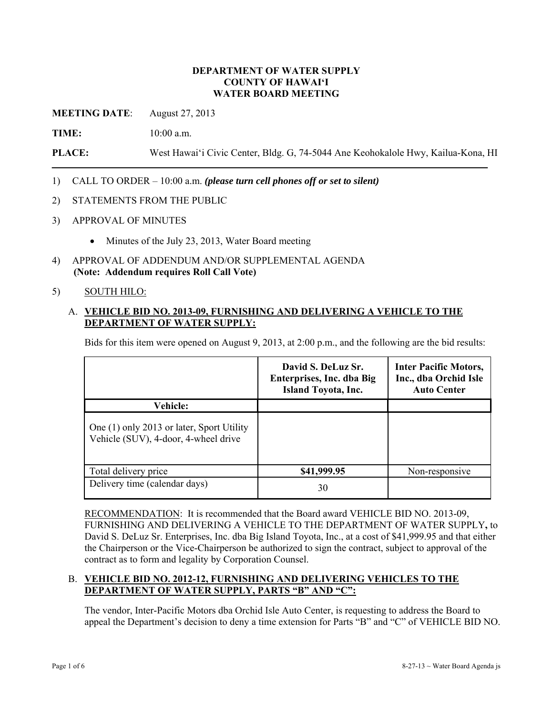### **DEPARTMENT OF WATER SUPPLY COUNTY OF HAWAI'I WATER BOARD MEETING**

**MEETING DATE**: August 27, 2013

**TIME:** 10:00 a.m.

**PLACE:** West Hawai'i Civic Center, Bldg. G, 74-5044 Ane Keohokalole Hwy, Kailua-Kona, HI

- 1) CALL TO ORDER 10:00 a.m. *(please turn cell phones off or set to silent)*
- 2) STATEMENTS FROM THE PUBLIC
- 3) APPROVAL OF MINUTES
	- Minutes of the July 23, 2013, Water Board meeting
- 4) APPROVAL OF ADDENDUM AND/OR SUPPLEMENTAL AGENDA **(Note: Addendum requires Roll Call Vote)**

#### 5) SOUTH HILO:

### A. **VEHICLE BID NO. 2013-09, FURNISHING AND DELIVERING A VEHICLE TO THE DEPARTMENT OF WATER SUPPLY:**

Bids for this item were opened on August 9, 2013, at 2:00 p.m., and the following are the bid results:

|                                                                                   | David S. DeLuz Sr.<br>Enterprises, Inc. dba Big<br><b>Island Toyota, Inc.</b> | <b>Inter Pacific Motors,</b><br>Inc., dba Orchid Isle<br><b>Auto Center</b> |
|-----------------------------------------------------------------------------------|-------------------------------------------------------------------------------|-----------------------------------------------------------------------------|
| <b>Vehicle:</b>                                                                   |                                                                               |                                                                             |
| One (1) only 2013 or later, Sport Utility<br>Vehicle (SUV), 4-door, 4-wheel drive |                                                                               |                                                                             |
| Total delivery price                                                              | \$41,999.95                                                                   | Non-responsive                                                              |
| Delivery time (calendar days)                                                     | 30                                                                            |                                                                             |

RECOMMENDATION: It is recommended that the Board award VEHICLE BID NO. 2013-09, FURNISHING AND DELIVERING A VEHICLE TO THE DEPARTMENT OF WATER SUPPLY**,** to David S. DeLuz Sr. Enterprises, Inc. dba Big Island Toyota, Inc., at a cost of \$41,999.95 and that either the Chairperson or the Vice-Chairperson be authorized to sign the contract, subject to approval of the contract as to form and legality by Corporation Counsel.

## B. **VEHICLE BID NO. 2012-12, FURNISHING AND DELIVERING VEHICLES TO THE DEPARTMENT OF WATER SUPPLY, PARTS "B" AND "C":**

The vendor, Inter-Pacific Motors dba Orchid Isle Auto Center, is requesting to address the Board to appeal the Department's decision to deny a time extension for Parts "B" and "C" of VEHICLE BID NO.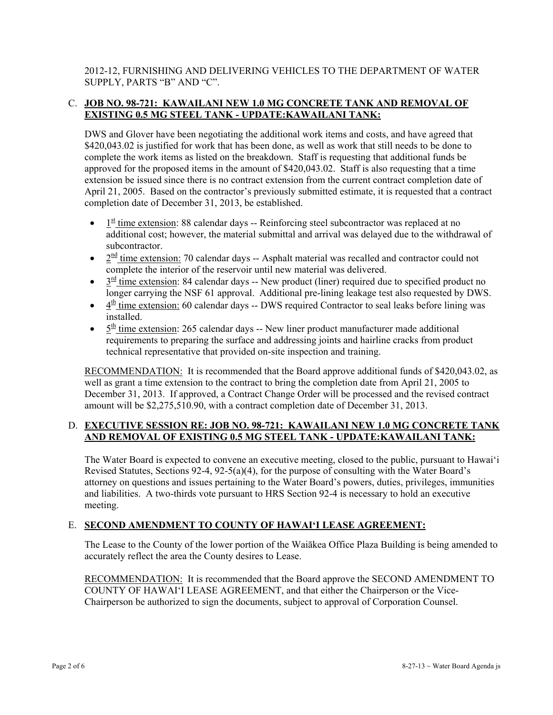2012-12, FURNISHING AND DELIVERING VEHICLES TO THE DEPARTMENT OF WATER SUPPLY, PARTS "B" AND "C".

## C. **JOB NO. 98-721: KAWAILANI NEW 1.0 MG CONCRETE TANK AND REMOVAL OF EXISTING 0.5 MG STEEL TANK - UPDATE:KAWAILANI TANK:**

DWS and Glover have been negotiating the additional work items and costs, and have agreed that \$420,043.02 is justified for work that has been done, as well as work that still needs to be done to complete the work items as listed on the breakdown. Staff is requesting that additional funds be approved for the proposed items in the amount of \$420,043.02. Staff is also requesting that a time extension be issued since there is no contract extension from the current contract completion date of April 21, 2005. Based on the contractor's previously submitted estimate, it is requested that a contract completion date of December 31, 2013, be established.

- $\bullet$  1<sup>st</sup> time extension: 88 calendar days -- Reinforcing steel subcontractor was replaced at no additional cost; however, the material submittal and arrival was delayed due to the withdrawal of subcontractor.
- $2^{\text{nd}}$  time extension: 70 calendar days -- Asphalt material was recalled and contractor could not complete the interior of the reservoir until new material was delivered.
- $\bullet$   $3^{\frac{rd}{2}}$  time extension: 84 calendar days -- New product (liner) required due to specified product no longer carrying the NSF 61 approval. Additional pre-lining leakage test also requested by DWS.
- $\bullet$  4<sup>th</sup> time extension: 60 calendar days -- DWS required Contractor to seal leaks before lining was installed.
- $\bullet$   $5<sup>th</sup>$  time extension: 265 calendar days -- New liner product manufacturer made additional requirements to preparing the surface and addressing joints and hairline cracks from product technical representative that provided on-site inspection and training.

RECOMMENDATION: It is recommended that the Board approve additional funds of \$420,043.02, as well as grant a time extension to the contract to bring the completion date from April 21, 2005 to December 31, 2013. If approved, a Contract Change Order will be processed and the revised contract amount will be \$2,275,510.90, with a contract completion date of December 31, 2013.

# D. **EXECUTIVE SESSION RE: JOB NO. 98-721: KAWAILANI NEW 1.0 MG CONCRETE TANK AND REMOVAL OF EXISTING 0.5 MG STEEL TANK - UPDATE:KAWAILANI TANK:**

The Water Board is expected to convene an executive meeting, closed to the public, pursuant to Hawai'i Revised Statutes, Sections 92-4, 92-5(a)(4), for the purpose of consulting with the Water Board's attorney on questions and issues pertaining to the Water Board's powers, duties, privileges, immunities and liabilities. A two-thirds vote pursuant to HRS Section 92-4 is necessary to hold an executive meeting.

# E. **SECOND AMENDMENT TO COUNTY OF HAWAI'I LEASE AGREEMENT:**

The Lease to the County of the lower portion of the Waiākea Office Plaza Building is being amended to accurately reflect the area the County desires to Lease.

RECOMMENDATION: It is recommended that the Board approve the SECOND AMENDMENT TO COUNTY OF HAWAI'I LEASE AGREEMENT, and that either the Chairperson or the Vice-Chairperson be authorized to sign the documents, subject to approval of Corporation Counsel.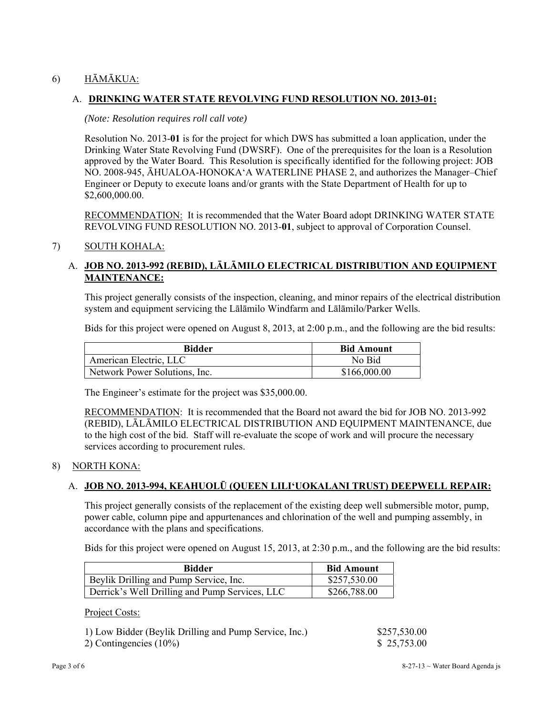# 6) HĀMĀKUA:

## A. **DRINKING WATER STATE REVOLVING FUND RESOLUTION NO. 2013-01:**

#### *(Note: Resolution requires roll call vote)*

Resolution No. 2013-**01** is for the project for which DWS has submitted a loan application, under the Drinking Water State Revolving Fund (DWSRF). One of the prerequisites for the loan is a Resolution approved by the Water Board. This Resolution is specifically identified for the following project: JOB NO. 2008-945, ĀHUALOA-HONOKA'A WATERLINE PHASE 2, and authorizes the Manager–Chief Engineer or Deputy to execute loans and/or grants with the State Department of Health for up to \$2,600,000.00.

RECOMMENDATION: It is recommended that the Water Board adopt DRINKING WATER STATE REVOLVING FUND RESOLUTION NO. 2013-**01**, subject to approval of Corporation Counsel.

### 7) SOUTH KOHALA:

# A. **JOB NO. 2013-992 (REBID), LĀLĀMILO ELECTRICAL DISTRIBUTION AND EQUIPMENT MAINTENANCE:**

This project generally consists of the inspection, cleaning, and minor repairs of the electrical distribution system and equipment servicing the Lālāmilo Windfarm and Lālāmilo/Parker Wells.

Bids for this project were opened on August 8, 2013, at 2:00 p.m., and the following are the bid results:

| <b>Bidder</b>                 | <b>Bid Amount</b> |
|-------------------------------|-------------------|
| American Electric, LLC        | No Bid            |
| Network Power Solutions, Inc. | \$166,000.00      |

The Engineer's estimate for the project was \$35,000.00.

RECOMMENDATION: It is recommended that the Board not award the bid for JOB NO. 2013-992 (REBID), LĀLĀMILO ELECTRICAL DISTRIBUTION AND EQUIPMENT MAINTENANCE, due to the high cost of the bid. Staff will re-evaluate the scope of work and will procure the necessary services according to procurement rules.

#### 8) NORTH KONA:

### A. **JOB NO. 2013-994, KEAHUOLŪ (QUEEN LILI'UOKALANI TRUST) DEEPWELL REPAIR:**

This project generally consists of the replacement of the existing deep well submersible motor, pump, power cable, column pipe and appurtenances and chlorination of the well and pumping assembly, in accordance with the plans and specifications.

Bids for this project were opened on August 15, 2013, at 2:30 p.m., and the following are the bid results:

| Bidder                                         | <b>Bid Amount</b> |  |
|------------------------------------------------|-------------------|--|
| Beylik Drilling and Pump Service, Inc.         | \$257,530.00      |  |
| Derrick's Well Drilling and Pump Services, LLC | \$266,788.00      |  |

Project Costs:

|  | 1) Low Bidder (Beylik Drilling and Pump Service, Inc.) |  |  |  |  |  |
|--|--------------------------------------------------------|--|--|--|--|--|
|--|--------------------------------------------------------|--|--|--|--|--|

2) Contingencies (10%) \$ 25,753.00

 $$257,530.00$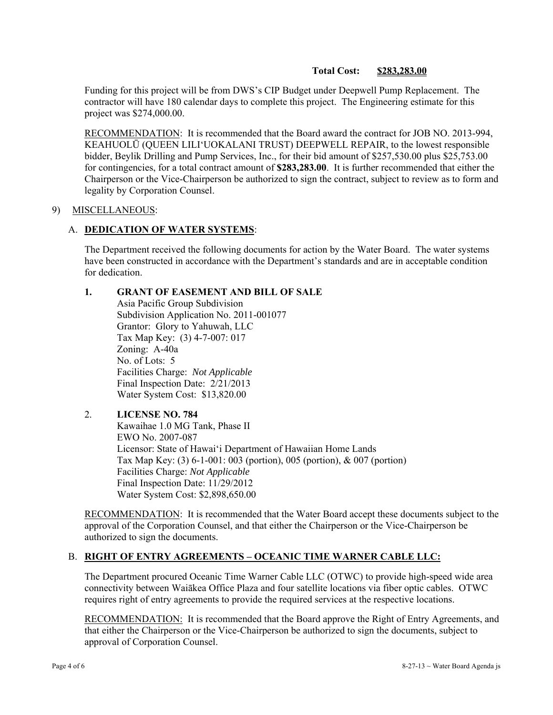### **Total Cost: \$283,283.00**

Funding for this project will be from DWS's CIP Budget under Deepwell Pump Replacement. The contractor will have 180 calendar days to complete this project. The Engineering estimate for this project was \$274,000.00.

RECOMMENDATION: It is recommended that the Board award the contract for JOB NO. 2013-994, KEAHUOLŪ (QUEEN LILI'UOKALANI TRUST) DEEPWELL REPAIR, to the lowest responsible bidder, Beylik Drilling and Pump Services, Inc., for their bid amount of \$257,530.00 plus \$25,753.00 for contingencies, for a total contract amount of **\$283,283.00**. It is further recommended that either the Chairperson or the Vice-Chairperson be authorized to sign the contract, subject to review as to form and legality by Corporation Counsel.

#### 9) MISCELLANEOUS:

### A. **DEDICATION OF WATER SYSTEMS**:

The Department received the following documents for action by the Water Board. The water systems have been constructed in accordance with the Department's standards and are in acceptable condition for dedication.

### **1. GRANT OF EASEMENT AND BILL OF SALE**

 Asia Pacific Group Subdivision Subdivision Application No. 2011-001077 Grantor: Glory to Yahuwah, LLC Tax Map Key: (3) 4-7-007: 017 Zoning: A-40a No. of Lots: 5 Facilities Charge: *Not Applicable*  Final Inspection Date: 2/21/2013 Water System Cost: \$13,820.00

### 2. **LICENSE NO. 784**  Kawaihae 1.0 MG Tank, Phase II EWO No. 2007-087 Licensor: State of Hawai'i Department of Hawaiian Home Lands Tax Map Key: (3) 6-1-001: 003 (portion), 005 (portion), & 007 (portion) Facilities Charge: *Not Applicable*  Final Inspection Date: 11/29/2012 Water System Cost: \$2,898,650.00

RECOMMENDATION: It is recommended that the Water Board accept these documents subject to the approval of the Corporation Counsel, and that either the Chairperson or the Vice-Chairperson be authorized to sign the documents.

### B. **RIGHT OF ENTRY AGREEMENTS – OCEANIC TIME WARNER CABLE LLC:**

The Department procured Oceanic Time Warner Cable LLC (OTWC) to provide high-speed wide area connectivity between Waiākea Office Plaza and four satellite locations via fiber optic cables. OTWC requires right of entry agreements to provide the required services at the respective locations.

RECOMMENDATION: It is recommended that the Board approve the Right of Entry Agreements, and that either the Chairperson or the Vice-Chairperson be authorized to sign the documents, subject to approval of Corporation Counsel.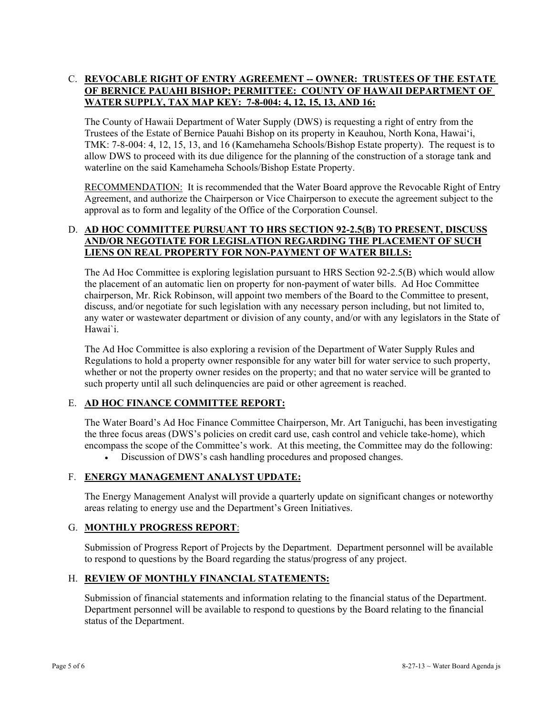# C. **REVOCABLE RIGHT OF ENTRY AGREEMENT -- OWNER: TRUSTEES OF THE ESTATE OF BERNICE PAUAHI BISHOP; PERMITTEE: COUNTY OF HAWAII DEPARTMENT OF WATER SUPPLY, TAX MAP KEY: 7-8-004: 4, 12, 15, 13, AND 16:**

The County of Hawaii Department of Water Supply (DWS) is requesting a right of entry from the Trustees of the Estate of Bernice Pauahi Bishop on its property in Keauhou, North Kona, Hawai'i, TMK: 7-8-004: 4, 12, 15, 13, and 16 (Kamehameha Schools/Bishop Estate property). The request is to allow DWS to proceed with its due diligence for the planning of the construction of a storage tank and waterline on the said Kamehameha Schools/Bishop Estate Property.

RECOMMENDATION: It is recommended that the Water Board approve the Revocable Right of Entry Agreement, and authorize the Chairperson or Vice Chairperson to execute the agreement subject to the approval as to form and legality of the Office of the Corporation Counsel.

## D. **AD HOC COMMITTEE PURSUANT TO HRS SECTION 92-2.5(B) TO PRESENT, DISCUSS AND/OR NEGOTIATE FOR LEGISLATION REGARDING THE PLACEMENT OF SUCH LIENS ON REAL PROPERTY FOR NON-PAYMENT OF WATER BILLS:**

The Ad Hoc Committee is exploring legislation pursuant to HRS Section 92-2.5(B) which would allow the placement of an automatic lien on property for non-payment of water bills. Ad Hoc Committee chairperson, Mr. Rick Robinson, will appoint two members of the Board to the Committee to present, discuss, and/or negotiate for such legislation with any necessary person including, but not limited to, any water or wastewater department or division of any county, and/or with any legislators in the State of Hawai`i.

The Ad Hoc Committee is also exploring a revision of the Department of Water Supply Rules and Regulations to hold a property owner responsible for any water bill for water service to such property, whether or not the property owner resides on the property; and that no water service will be granted to such property until all such delinquencies are paid or other agreement is reached.

# E. **AD HOC FINANCE COMMITTEE REPORT:**

The Water Board's Ad Hoc Finance Committee Chairperson, Mr. Art Taniguchi, has been investigating the three focus areas (DWS's policies on credit card use, cash control and vehicle take-home), which encompass the scope of the Committee's work. At this meeting, the Committee may do the following:

Discussion of DWS's cash handling procedures and proposed changes.

# F. **ENERGY MANAGEMENT ANALYST UPDATE:**

The Energy Management Analyst will provide a quarterly update on significant changes or noteworthy areas relating to energy use and the Department's Green Initiatives.

### G. **MONTHLY PROGRESS REPORT**:

Submission of Progress Report of Projects by the Department. Department personnel will be available to respond to questions by the Board regarding the status/progress of any project.

## H. **REVIEW OF MONTHLY FINANCIAL STATEMENTS:**

Submission of financial statements and information relating to the financial status of the Department. Department personnel will be available to respond to questions by the Board relating to the financial status of the Department.